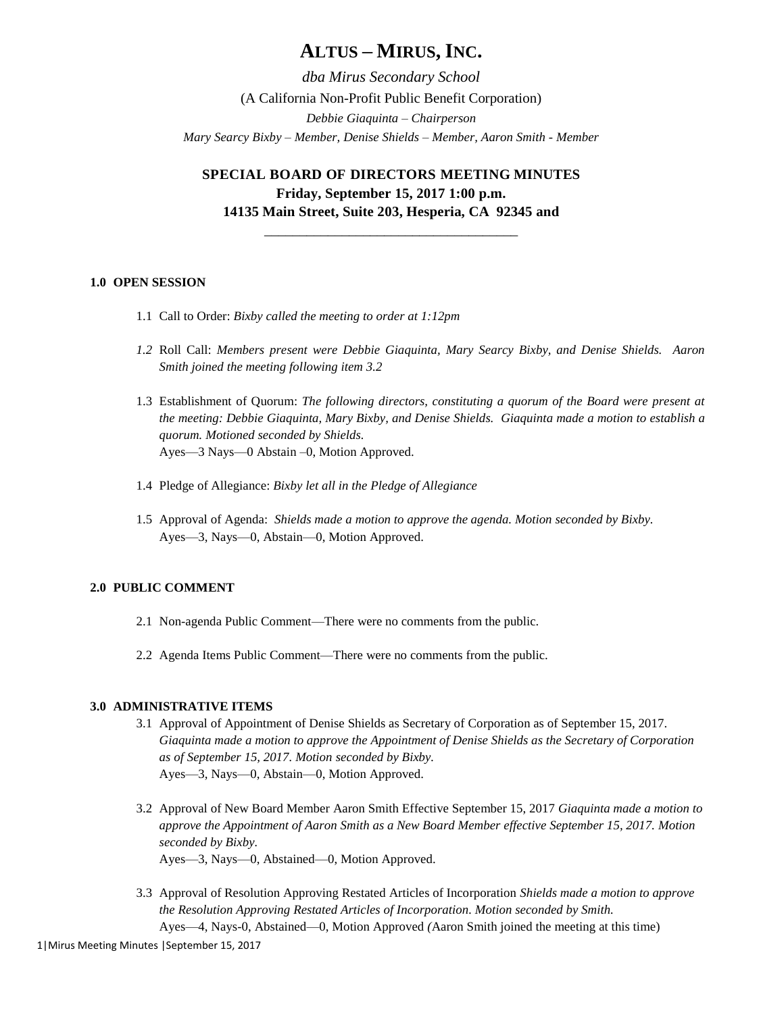# **ALTUS – MIRUS, INC.**

*dba Mirus Secondary School* (A California Non-Profit Public Benefit Corporation) *Debbie Giaquinta – Chairperson Mary Searcy Bixby – Member, Denise Shields – Member, Aaron Smith - Member*

**SPECIAL BOARD OF DIRECTORS MEETING MINUTES Friday, September 15, 2017 1:00 p.m. 14135 Main Street, Suite 203, Hesperia, CA 92345 and** 

\_\_\_\_\_\_\_\_\_\_\_\_\_\_\_\_\_\_\_\_\_\_\_\_\_\_\_\_\_\_\_\_\_\_\_\_

# **1.0 OPEN SESSION**

- 1.1 Call to Order: *Bixby called the meeting to order at 1:12pm*
- *1.2* Roll Call: *Members present were Debbie Giaquinta, Mary Searcy Bixby, and Denise Shields. Aaron Smith joined the meeting following item 3.2*
- 1.3 Establishment of Quorum: *The following directors, constituting a quorum of the Board were present at the meeting: Debbie Giaquinta, Mary Bixby, and Denise Shields. Giaquinta made a motion to establish a quorum. Motioned seconded by Shields.* Ayes—3 Nays—0 Abstain –0, Motion Approved.
- 1.4 Pledge of Allegiance: *Bixby let all in the Pledge of Allegiance*
- 1.5 Approval of Agenda: *Shields made a motion to approve the agenda. Motion seconded by Bixby.* Ayes—3, Nays—0, Abstain—0, Motion Approved.

## **2.0 PUBLIC COMMENT**

- 2.1 Non-agenda Public Comment—There were no comments from the public.
- 2.2 Agenda Items Public Comment—There were no comments from the public.

#### **3.0 ADMINISTRATIVE ITEMS**

- 3.1 Approval of Appointment of Denise Shields as Secretary of Corporation as of September 15, 2017. *Giaquinta made a motion to approve the Appointment of Denise Shields as the Secretary of Corporation as of September 15, 2017. Motion seconded by Bixby.* Ayes—3, Nays—0, Abstain—0, Motion Approved.
- 3.2 Approval of New Board Member Aaron Smith Effective September 15, 2017 *Giaquinta made a motion to approve the Appointment of Aaron Smith as a New Board Member effective September 15, 2017. Motion seconded by Bixby.* Ayes—3, Nays—0, Abstained—0, Motion Approved.
- 3.3 Approval of Resolution Approving Restated Articles of Incorporation *Shields made a motion to approve the Resolution Approving Restated Articles of Incorporation. Motion seconded by Smith.*

Ayes—4, Nays-0, Abstained—0, Motion Approved *(*Aaron Smith joined the meeting at this time)